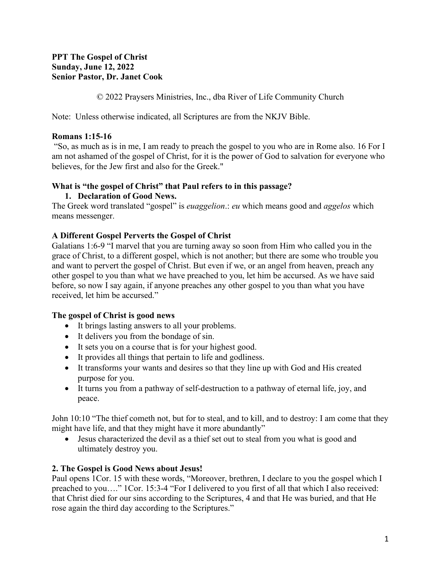### **PPT The Gospel of Christ Sunday, June 12, 2022 Senior Pastor, Dr. Janet Cook**

© 2022 Praysers Ministries, Inc., dba River of Life Community Church

Note: Unless otherwise indicated, all Scriptures are from the NKJV Bible.

# **Romans 1:15-16**

"So, as much as is in me, I am ready to preach the gospel to you who are in Rome also. 16 For I am not ashamed of the gospel of Christ, for it is the power of God to salvation for everyone who believes, for the Jew first and also for the Greek."

# **What is "the gospel of Christ" that Paul refers to in this passage?**

## **1. Declaration of Good News.**

The Greek word translated "gospel" is *euaggelion*.: *eu* which means good and *aggelos* which means messenger.

## **A Different Gospel Perverts the Gospel of Christ**

Galatians 1:6-9 "I marvel that you are turning away so soon from Him who called you in the grace of Christ, to a different gospel, which is not another; but there are some who trouble you and want to pervert the gospel of Christ. But even if we, or an angel from heaven, preach any other gospel to you than what we have preached to you, let him be accursed. As we have said before, so now I say again, if anyone preaches any other gospel to you than what you have received, let him be accursed."

# **The gospel of Christ is good news**

- It brings lasting answers to all your problems.
- It delivers you from the bondage of sin.
- It sets you on a course that is for your highest good.
- It provides all things that pertain to life and godliness.
- It transforms your wants and desires so that they line up with God and His created purpose for you.
- It turns you from a pathway of self-destruction to a pathway of eternal life, joy, and peace.

John 10:10 "The thief cometh not, but for to steal, and to kill, and to destroy: I am come that they might have life, and that they might have it more abundantly"

• Jesus characterized the devil as a thief set out to steal from you what is good and ultimately destroy you.

# **2. The Gospel is Good News about Jesus!**

Paul opens 1Cor. 15 with these words, "Moreover, brethren, I declare to you the gospel which I preached to you…." 1Cor. 15:3-4 "For I delivered to you first of all that which I also received: that Christ died for our sins according to the Scriptures, 4 and that He was buried, and that He rose again the third day according to the Scriptures."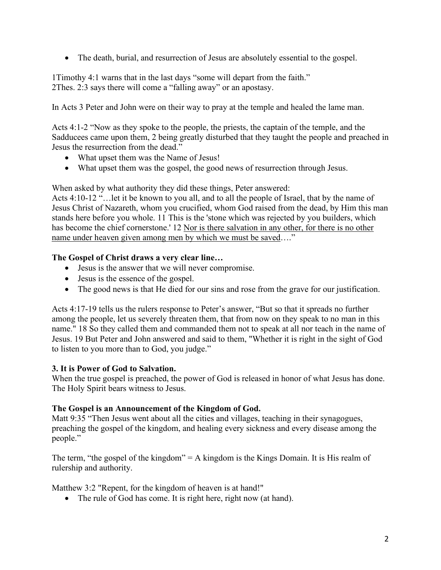• The death, burial, and resurrection of Jesus are absolutely essential to the gospel.

1Timothy 4:1 warns that in the last days "some will depart from the faith." 2Thes. 2:3 says there will come a "falling away" or an apostasy.

In Acts 3 Peter and John were on their way to pray at the temple and healed the lame man.

Acts 4:1-2 "Now as they spoke to the people, the priests, the captain of the temple, and the Sadducees came upon them, 2 being greatly disturbed that they taught the people and preached in Jesus the resurrection from the dead."

- What upset them was the Name of Jesus!
- What upset them was the gospel, the good news of resurrection through Jesus.

When asked by what authority they did these things, Peter answered:

Acts 4:10-12 "…let it be known to you all, and to all the people of Israel, that by the name of Jesus Christ of Nazareth, whom you crucified, whom God raised from the dead, by Him this man stands here before you whole. 11 This is the 'stone which was rejected by you builders, which has become the chief cornerstone.' 12 Nor is there salvation in any other, for there is no other name under heaven given among men by which we must be saved…."

### **The Gospel of Christ draws a very clear line…**

- Jesus is the answer that we will never compromise.
- Jesus is the essence of the gospel.
- The good news is that He died for our sins and rose from the grave for our justification.

Acts 4:17-19 tells us the rulers response to Peter's answer, "But so that it spreads no further among the people, let us severely threaten them, that from now on they speak to no man in this name." 18 So they called them and commanded them not to speak at all nor teach in the name of Jesus. 19 But Peter and John answered and said to them, "Whether it is right in the sight of God to listen to you more than to God, you judge."

### **3. It is Power of God to Salvation.**

When the true gospel is preached, the power of God is released in honor of what Jesus has done. The Holy Spirit bears witness to Jesus.

### **The Gospel is an Announcement of the Kingdom of God.**

Matt 9:35 "Then Jesus went about all the cities and villages, teaching in their synagogues, preaching the gospel of the kingdom, and healing every sickness and every disease among the people."

The term, "the gospel of the kingdom" = A kingdom is the Kings Domain. It is His realm of rulership and authority.

Matthew 3:2 "Repent, for the kingdom of heaven is at hand!"

• The rule of God has come. It is right here, right now (at hand).